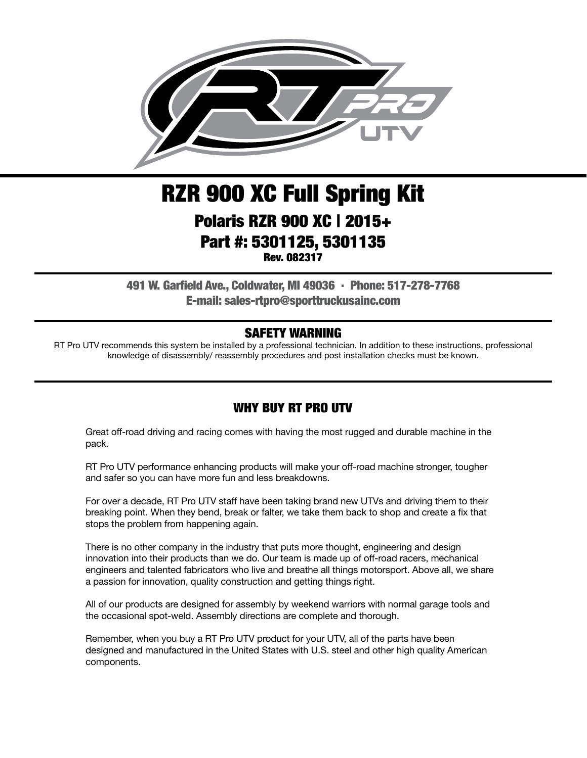

# RZR 900 XC Full Spring Kit Polaris RZR 900 XC | 2015+ Part #: 5301125, 5301135 Rev. 082317

491 W. Garfield Ave., Coldwater, MI 49036 . Phone: 517-278-7768 E-mail: sales-rtpro@sporttruckusainc.com

#### SAFETY WARNING

RT Pro UTV recommends this system be installed by a professional technician. In addition to these instructions, professional knowledge of disassembly/ reassembly procedures and post installation checks must be known.

#### WHY BUY RT PRO UTV

Great off-road driving and racing comes with having the most rugged and durable machine in the pack.

RT Pro UTV performance enhancing products will make your off-road machine stronger, tougher and safer so you can have more fun and less breakdowns.

For over a decade, RT Pro UTV staff have been taking brand new UTVs and driving them to their breaking point. When they bend, break or falter, we take them back to shop and create a fix that stops the problem from happening again.

There is no other company in the industry that puts more thought, engineering and design innovation into their products than we do. Our team is made up of off-road racers, mechanical engineers and talented fabricators who live and breathe all things motorsport. Above all, we share a passion for innovation, quality construction and getting things right.

All of our products are designed for assembly by weekend warriors with normal garage tools and the occasional spot-weld. Assembly directions are complete and thorough.

Remember, when you buy a RT Pro UTV product for your UTV, all of the parts have been designed and manufactured in the United States with U.S. steel and other high quality American components.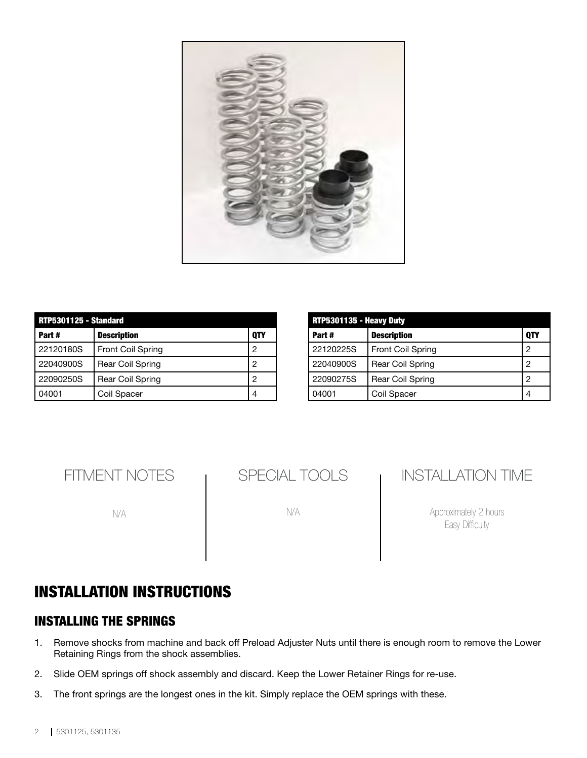

| RTP5301125 - Standard |                          |            |
|-----------------------|--------------------------|------------|
| Part#                 | <b>Description</b>       | <b>OTY</b> |
| 22120180S             | <b>Front Coil Spring</b> | 2          |
| 22040900S             | <b>Rear Coil Spring</b>  | 2          |
| 22090250S             | Rear Coil Spring         | 2          |
| 04001                 | Coil Spacer              |            |

| RTP5301135 - Heavy Duty |                          |     |  |
|-------------------------|--------------------------|-----|--|
| Part#                   | <b>Description</b>       | 0TY |  |
| 22120225S               | <b>Front Coil Spring</b> | 2   |  |
| 22040900S               | <b>Rear Coil Spring</b>  | 2   |  |
| 22090275S               | Rear Coil Spring         | 2   |  |
| 04001                   | Coil Spacer              |     |  |

FITMENT NOTES

N/A

SPECIAL TOOLS

N/A

## INSTALLATION TIME

Approximately 2 hours Easy Difficulty

## INSTALLATION INSTRUCTIONS

#### INSTALLING THE SPRINGS

- 1. Remove shocks from machine and back off Preload Adjuster Nuts until there is enough room to remove the Lower Retaining Rings from the shock assemblies.
- 2. Slide OEM springs off shock assembly and discard. Keep the Lower Retainer Rings for re-use.
- 3. The front springs are the longest ones in the kit. Simply replace the OEM springs with these.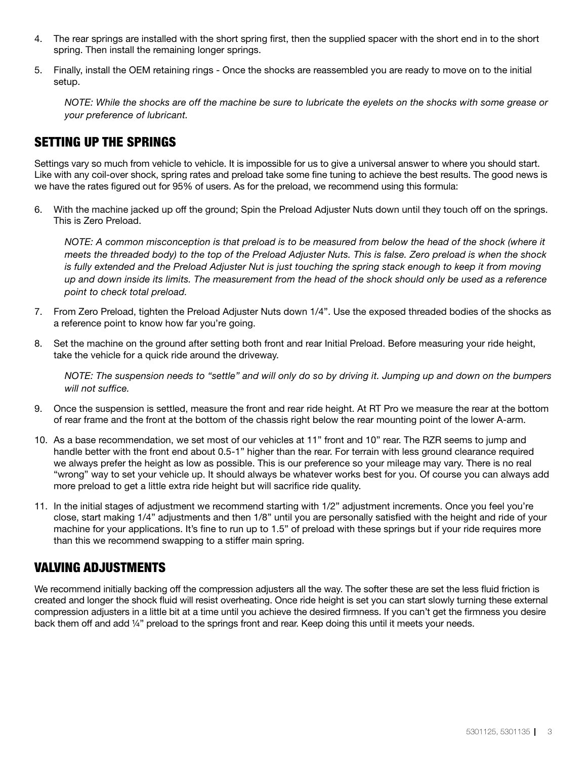- 4. The rear springs are installed with the short spring first, then the supplied spacer with the short end in to the short spring. Then install the remaining longer springs.
- 5. Finally, install the OEM retaining rings Once the shocks are reassembled you are ready to move on to the initial setup.

*NOTE: While the shocks are off the machine be sure to lubricate the eyelets on the shocks with some grease or your preference of lubricant.*

#### SETTING UP THE SPRINGS

Settings vary so much from vehicle to vehicle. It is impossible for us to give a universal answer to where you should start. Like with any coil-over shock, spring rates and preload take some fine tuning to achieve the best results. The good news is we have the rates figured out for 95% of users. As for the preload, we recommend using this formula:

6. With the machine jacked up off the ground; Spin the Preload Adjuster Nuts down until they touch off on the springs. This is Zero Preload.

*NOTE: A common misconception is that preload is to be measured from below the head of the shock (where it meets the threaded body) to the top of the Preload Adjuster Nuts. This is false. Zero preload is when the shock is fully extended and the Preload Adjuster Nut is just touching the spring stack enough to keep it from moving up and down inside its limits. The measurement from the head of the shock should only be used as a reference point to check total preload.*

- 7. From Zero Preload, tighten the Preload Adjuster Nuts down 1/4". Use the exposed threaded bodies of the shocks as a reference point to know how far you're going.
- 8. Set the machine on the ground after setting both front and rear Initial Preload. Before measuring your ride height, take the vehicle for a quick ride around the driveway.

*NOTE: The suspension needs to "settle" and will only do so by driving it. Jumping up and down on the bumpers will not suffice.* 

- 9. Once the suspension is settled, measure the front and rear ride height. At RT Pro we measure the rear at the bottom of rear frame and the front at the bottom of the chassis right below the rear mounting point of the lower A-arm.
- 10. As a base recommendation, we set most of our vehicles at 11" front and 10" rear. The RZR seems to jump and handle better with the front end about 0.5-1" higher than the rear. For terrain with less ground clearance required we always prefer the height as low as possible. This is our preference so your mileage may vary. There is no real "wrong" way to set your vehicle up. It should always be whatever works best for you. Of course you can always add more preload to get a little extra ride height but will sacrifice ride quality.
- 11. In the initial stages of adjustment we recommend starting with 1/2" adjustment increments. Once you feel you're close, start making 1/4" adjustments and then 1/8" until you are personally satisfied with the height and ride of your machine for your applications. It's fine to run up to 1.5" of preload with these springs but if your ride requires more than this we recommend swapping to a stiffer main spring.

#### VALVING ADJUSTMENTS

We recommend initially backing off the compression adjusters all the way. The softer these are set the less fluid friction is created and longer the shock fluid will resist overheating. Once ride height is set you can start slowly turning these external compression adjusters in a little bit at a time until you achieve the desired firmness. If you can't get the firmness you desire back them off and add ¼" preload to the springs front and rear. Keep doing this until it meets your needs.